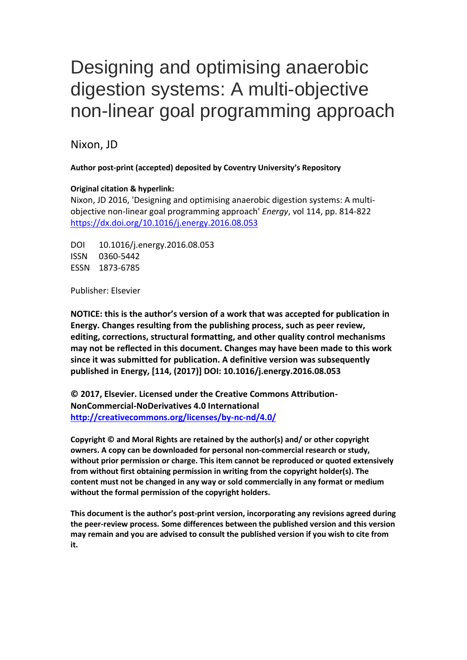# Designing and optimising anaerobic digestion systems: A multi-objective non-linear goal programming approach

Nixon, JD

**Author post-print (accepted) deposited by Coventry University's Repository**

# **Original citation & hyperlink:**

Nixon, JD 2016, 'Designing and optimising anaerobic digestion systems: A multiobjective non-linear goal programming approach' *Energy*, vol 114, pp. 814-822 <https://dx.doi.org/10.1016/j.energy.2016.08.053>

DOI 10.1016/j.energy.2016.08.053 ISSN 0360-5442 ESSN 1873-6785

Publisher: Elsevier

**NOTICE: this is the author's version of a work that was accepted for publication in Energy. Changes resulting from the publishing process, such as peer review, editing, corrections, structural formatting, and other quality control mechanisms may not be reflected in this document. Changes may have been made to this work since it was submitted for publication. A definitive version was subsequently published in Energy, [114, (2017)] DOI: 10.1016/j.energy.2016.08.053**

**© 2017, Elsevier. Licensed under the Creative Commons Attribution-NonCommercial-NoDerivatives 4.0 International <http://creativecommons.org/licenses/by-nc-nd/4.0/>**

**Copyright © and Moral Rights are retained by the author(s) and/ or other copyright owners. A copy can be downloaded for personal non-commercial research or study, without prior permission or charge. This item cannot be reproduced or quoted extensively from without first obtaining permission in writing from the copyright holder(s). The content must not be changed in any way or sold commercially in any format or medium without the formal permission of the copyright holders.** 

**This document is the author's post-print version, incorporating any revisions agreed during the peer-review process. Some differences between the published version and this version may remain and you are advised to consult the published version if you wish to cite from it.**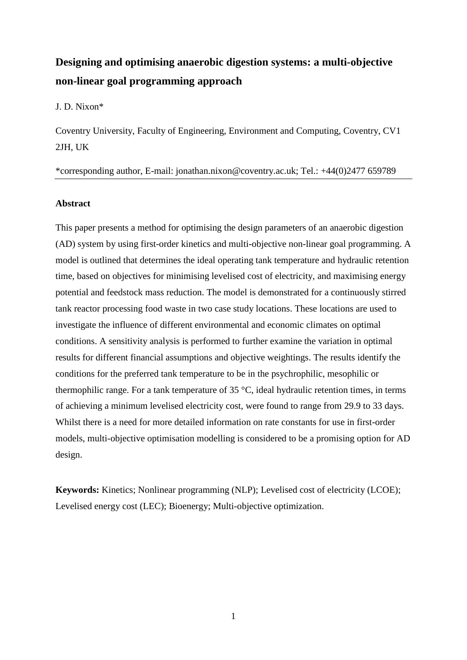# **Designing and optimising anaerobic digestion systems: a multi-objective non-linear goal programming approach**

J. D. Nixon\*

Coventry University, Faculty of Engineering, Environment and Computing, Coventry, CV1 2JH, UK

\*corresponding author, E-mail: jonathan.nixon@coventry.ac.uk; Tel.: +44(0)2477 659789

# **Abstract**

This paper presents a method for optimising the design parameters of an anaerobic digestion (AD) system by using first-order kinetics and multi-objective non-linear goal programming. A model is outlined that determines the ideal operating tank temperature and hydraulic retention time, based on objectives for minimising levelised cost of electricity, and maximising energy potential and feedstock mass reduction. The model is demonstrated for a continuously stirred tank reactor processing food waste in two case study locations. These locations are used to investigate the influence of different environmental and economic climates on optimal conditions. A sensitivity analysis is performed to further examine the variation in optimal results for different financial assumptions and objective weightings. The results identify the conditions for the preferred tank temperature to be in the psychrophilic, mesophilic or thermophilic range. For a tank temperature of 35 °C, ideal hydraulic retention times, in terms of achieving a minimum levelised electricity cost, were found to range from 29.9 to 33 days. Whilst there is a need for more detailed information on rate constants for use in first-order models, multi-objective optimisation modelling is considered to be a promising option for AD design.

**Keywords:** Kinetics; Nonlinear programming (NLP); Levelised cost of electricity (LCOE); Levelised energy cost (LEC); Bioenergy; Multi-objective optimization.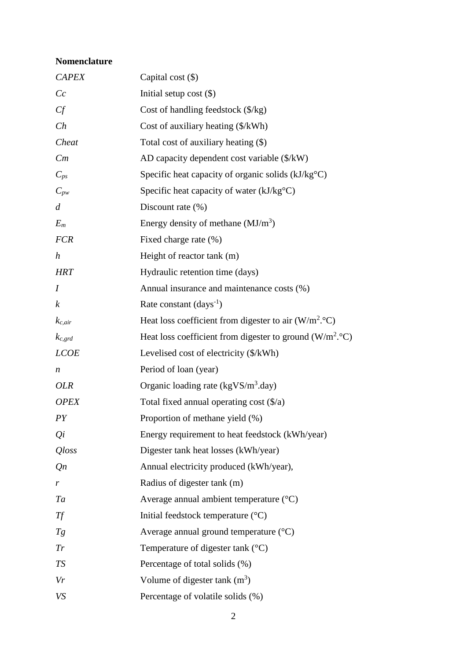# **Nomenclature**

| <b>CAPEX</b>     | Capital cost $(\$)$                                                |
|------------------|--------------------------------------------------------------------|
| Cc               | Initial setup cost $(\$)$                                          |
| Cf               | Cost of handling feedstock $(\frac{5}{kg})$                        |
| Ch               | Cost of auxiliary heating $(\frac{1}{2}kWh)$                       |
| Cheat            | Total cost of auxiliary heating (\$)                               |
| Cm               | AD capacity dependent cost variable (\$/kW)                        |
| $C_{ps}$         | Specific heat capacity of organic solids $(kJ/kg^{\circ}C)$        |
| $C_{pw}$         | Specific heat capacity of water $(kJ/kgoC)$                        |
| $\overline{d}$   | Discount rate $(\% )$                                              |
| $E_m$            | Energy density of methane $(MJ/m3)$                                |
| <b>FCR</b>       | Fixed charge rate (%)                                              |
| $\boldsymbol{h}$ | Height of reactor tank (m)                                         |
| <b>HRT</b>       | Hydraulic retention time (days)                                    |
| $\overline{I}$   | Annual insurance and maintenance costs (%)                         |
| $\boldsymbol{k}$ | Rate constant $\text{(days}^{-1})$                                 |
| $k_{c,air}$      | Heat loss coefficient from digester to air $(W/m^2. °C)$           |
| $k_{c,grd}$      | Heat loss coefficient from digester to ground $(W/m^2. \degree C)$ |
| <b>LCOE</b>      | Levelised cost of electricity (\$/kWh)                             |
| n                | Period of loan (year)                                              |
| <i>OLR</i>       | Organic loading rate (kgVS/m <sup>3</sup> .day)                    |
| <b>OPEX</b>      | Total fixed annual operating cost $(\frac{6}{a})$                  |
| PY               | Proportion of methane yield (%)                                    |
| $Q_i$            | Energy requirement to heat feedstock (kWh/year)                    |
| <i>Qloss</i>     | Digester tank heat losses (kWh/year)                               |
| Qn               | Annual electricity produced (kWh/year),                            |
| r                | Radius of digester tank (m)                                        |
| Ta               | Average annual ambient temperature $({}^{\circ}C)$                 |
| Tf               | Initial feedstock temperature $(^{\circ}C)$                        |
| Tg               | Average annual ground temperature $({}^{\circ}C)$                  |
| Tr               | Temperature of digester tank $(^{\circ}C)$                         |
| <b>TS</b>        | Percentage of total solids (%)                                     |
| Vr               | Volume of digester tank $(m^3)$                                    |
| VS               | Percentage of volatile solids (%)                                  |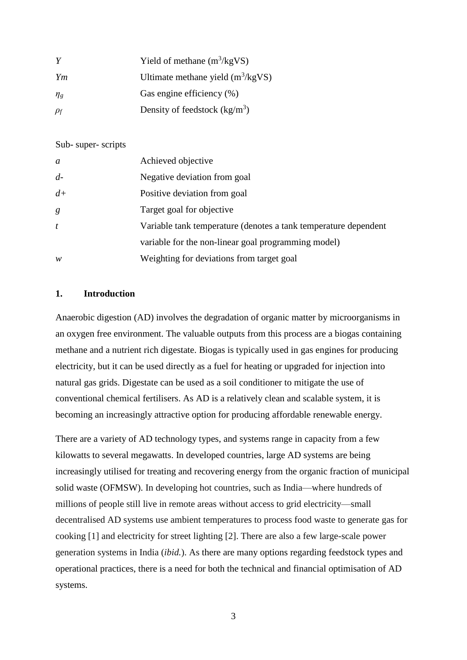|            | Yield of methane $(m^3/kgVS)$       |
|------------|-------------------------------------|
| Ym         | Ultimate methane yield $(m^3/kgVS)$ |
| $\eta_{g}$ | Gas engine efficiency (%)           |
| $\rho_f$   | Density of feedstock $(kg/m^3)$     |

#### Sub- super- scripts

| a    | Achieved objective                                              |
|------|-----------------------------------------------------------------|
| $d-$ | Negative deviation from goal                                    |
| $d+$ | Positive deviation from goal                                    |
| g    | Target goal for objective                                       |
| t    | Variable tank temperature (denotes a tank temperature dependent |
|      | variable for the non-linear goal programming model)             |
| w    | Weighting for deviations from target goal                       |

#### **1. Introduction**

Anaerobic digestion (AD) involves the degradation of organic matter by microorganisms in an oxygen free environment. The valuable outputs from this process are a biogas containing methane and a nutrient rich digestate. Biogas is typically used in gas engines for producing electricity, but it can be used directly as a fuel for heating or upgraded for injection into natural gas grids. Digestate can be used as a soil conditioner to mitigate the use of conventional chemical fertilisers. As AD is a relatively clean and scalable system, it is becoming an increasingly attractive option for producing affordable renewable energy.

There are a variety of AD technology types, and systems range in capacity from a few kilowatts to several megawatts. In developed countries, large AD systems are being increasingly utilised for treating and recovering energy from the organic fraction of municipal solid waste (OFMSW). In developing hot countries, such as India—where hundreds of millions of people still live in remote areas without access to grid electricity—small decentralised AD systems use ambient temperatures to process food waste to generate gas for cooking [1] and electricity for street lighting [2]. There are also a few large-scale power generation systems in India (*ibid.*). As there are many options regarding feedstock types and operational practices, there is a need for both the technical and financial optimisation of AD systems.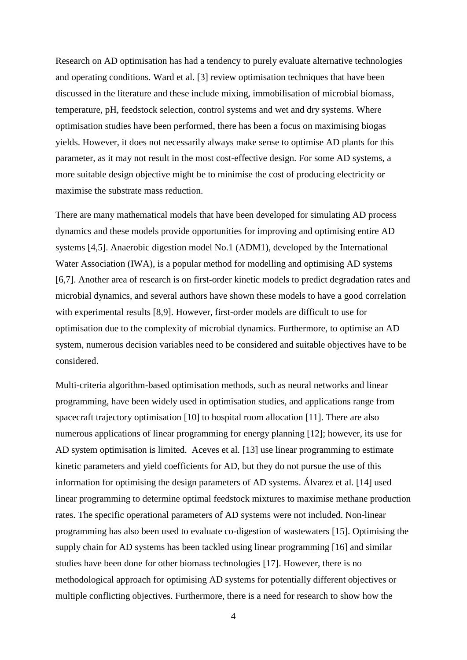Research on AD optimisation has had a tendency to purely evaluate alternative technologies and operating conditions. Ward et al. [3] review optimisation techniques that have been discussed in the literature and these include mixing, immobilisation of microbial biomass, temperature, pH, feedstock selection, control systems and wet and dry systems. Where optimisation studies have been performed, there has been a focus on maximising biogas yields. However, it does not necessarily always make sense to optimise AD plants for this parameter, as it may not result in the most cost-effective design. For some AD systems, a more suitable design objective might be to minimise the cost of producing electricity or maximise the substrate mass reduction.

There are many mathematical models that have been developed for simulating AD process dynamics and these models provide opportunities for improving and optimising entire AD systems [4,5]. Anaerobic digestion model No.1 (ADM1), developed by the International Water Association (IWA), is a popular method for modelling and optimising AD systems [6,7]. Another area of research is on first-order kinetic models to predict degradation rates and microbial dynamics, and several authors have shown these models to have a good correlation with experimental results [8,9]. However, first-order models are difficult to use for optimisation due to the complexity of microbial dynamics. Furthermore, to optimise an AD system, numerous decision variables need to be considered and suitable objectives have to be considered.

Multi-criteria algorithm-based optimisation methods, such as neural networks and linear programming, have been widely used in optimisation studies, and applications range from spacecraft trajectory optimisation [10] to hospital room allocation [11]. There are also numerous applications of linear programming for energy planning [12]; however, its use for AD system optimisation is limited. Aceves et al. [13] use linear programming to estimate kinetic parameters and yield coefficients for AD, but they do not pursue the use of this information for optimising the design parameters of AD systems. Álvarez et al. [14] used linear programming to determine optimal feedstock mixtures to maximise methane production rates. The specific operational parameters of AD systems were not included. Non-linear programming has also been used to evaluate co-digestion of wastewaters [15]. Optimising the supply chain for AD systems has been tackled using linear programming [16] and similar studies have been done for other biomass technologies [17]. However, there is no methodological approach for optimising AD systems for potentially different objectives or multiple conflicting objectives. Furthermore, there is a need for research to show how the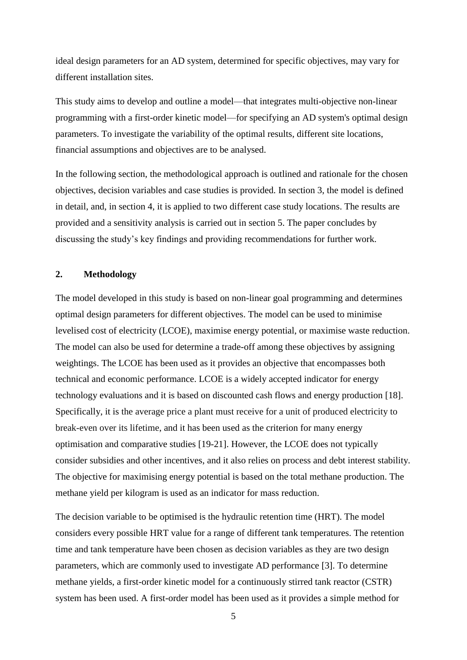ideal design parameters for an AD system, determined for specific objectives, may vary for different installation sites.

This study aims to develop and outline a model—that integrates multi-objective non-linear programming with a first-order kinetic model—for specifying an AD system's optimal design parameters. To investigate the variability of the optimal results, different site locations, financial assumptions and objectives are to be analysed.

In the following section, the methodological approach is outlined and rationale for the chosen objectives, decision variables and case studies is provided. In section 3, the model is defined in detail, and, in section 4, it is applied to two different case study locations. The results are provided and a sensitivity analysis is carried out in section 5. The paper concludes by discussing the study's key findings and providing recommendations for further work.

# **2. Methodology**

The model developed in this study is based on non-linear goal programming and determines optimal design parameters for different objectives. The model can be used to minimise levelised cost of electricity (LCOE), maximise energy potential, or maximise waste reduction. The model can also be used for determine a trade-off among these objectives by assigning weightings. The LCOE has been used as it provides an objective that encompasses both technical and economic performance. LCOE is a widely accepted indicator for energy technology evaluations and it is based on discounted cash flows and energy production [18]. Specifically, it is the average price a plant must receive for a unit of produced electricity to break-even over its lifetime, and it has been used as the criterion for many energy optimisation and comparative studies [19-21]. However, the LCOE does not typically consider subsidies and other incentives, and it also relies on process and debt interest stability. The objective for maximising energy potential is based on the total methane production. The methane yield per kilogram is used as an indicator for mass reduction.

The decision variable to be optimised is the hydraulic retention time (HRT). The model considers every possible HRT value for a range of different tank temperatures. The retention time and tank temperature have been chosen as decision variables as they are two design parameters, which are commonly used to investigate AD performance [3]. To determine methane yields, a first-order kinetic model for a continuously stirred tank reactor (CSTR) system has been used. A first-order model has been used as it provides a simple method for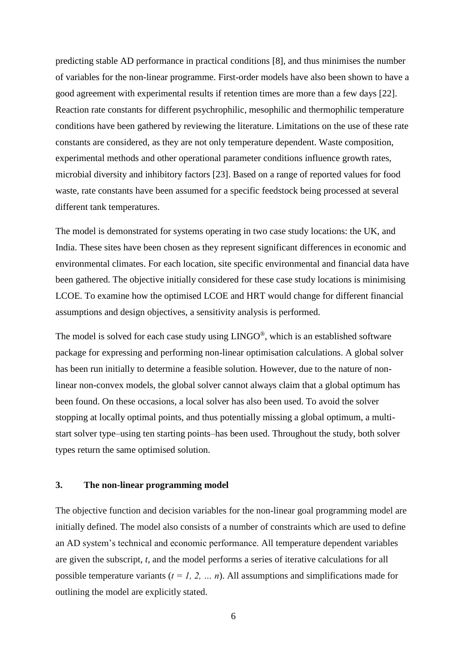predicting stable AD performance in practical conditions [8], and thus minimises the number of variables for the non-linear programme. First-order models have also been shown to have a good agreement with experimental results if retention times are more than a few days [22]. Reaction rate constants for different psychrophilic, mesophilic and thermophilic temperature conditions have been gathered by reviewing the literature. Limitations on the use of these rate constants are considered, as they are not only temperature dependent. Waste composition, experimental methods and other operational parameter conditions influence growth rates, microbial diversity and inhibitory factors [23]. Based on a range of reported values for food waste, rate constants have been assumed for a specific feedstock being processed at several different tank temperatures.

The model is demonstrated for systems operating in two case study locations: the UK, and India. These sites have been chosen as they represent significant differences in economic and environmental climates. For each location, site specific environmental and financial data have been gathered. The objective initially considered for these case study locations is minimising LCOE. To examine how the optimised LCOE and HRT would change for different financial assumptions and design objectives, a sensitivity analysis is performed.

The model is solved for each case study using LINGO®, which is an established software package for expressing and performing non-linear optimisation calculations. A global solver has been run initially to determine a feasible solution. However, due to the nature of nonlinear non-convex models, the global solver cannot always claim that a global optimum has been found. On these occasions, a local solver has also been used. To avoid the solver stopping at locally optimal points, and thus potentially missing a global optimum, a multistart solver type–using ten starting points–has been used. Throughout the study, both solver types return the same optimised solution.

#### **3. The non-linear programming model**

The objective function and decision variables for the non-linear goal programming model are initially defined. The model also consists of a number of constraints which are used to define an AD system's technical and economic performance. All temperature dependent variables are given the subscript, *t*, and the model performs a series of iterative calculations for all possible temperature variants  $(t = 1, 2, \dots n)$ . All assumptions and simplifications made for outlining the model are explicitly stated.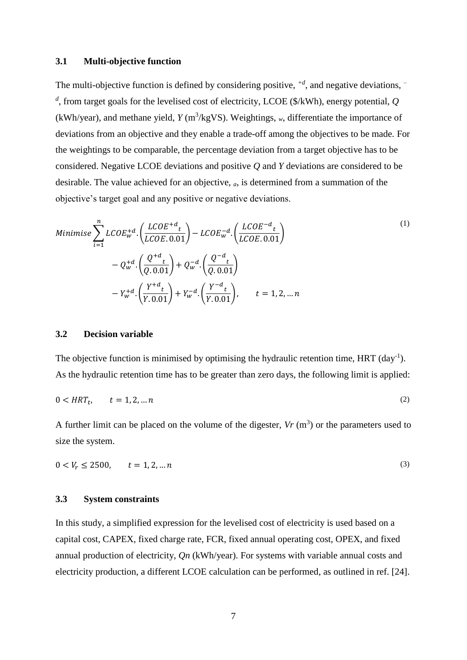#### **3.1 Multi-objective function**

The multi-objective function is defined by considering positive, *+d*, and negative deviations, *– d* , from target goals for the levelised cost of electricity, LCOE (\$/kWh), energy potential, *Q*  $(kWh/year)$ , and methane yield,  $Y$  (m<sup>3</sup>/kgVS). Weightings,  $_w$ , differentiate the importance of deviations from an objective and they enable a trade-off among the objectives to be made. For the weightings to be comparable, the percentage deviation from a target objective has to be considered. Negative LCOE deviations and positive *Q* and *Y* deviations are considered to be desirable. The value achieved for an objective, *a*, is determined from a summation of the objective's target goal and any positive or negative deviations.

Minimise 
$$
\sum_{i=1}^{n} LCOE_w^{+d} \cdot \left(\frac{LCOE^{+d}t}{LCOE \cdot 0.01}\right) - LCOE_w^{-d} \cdot \left(\frac{LCOE^{-d}t}{LCOE \cdot 0.01}\right)
$$

$$
- Q_w^{+d} \cdot \left(\frac{Q^{+d}t}{Q \cdot 0.01}\right) + Q_w^{-d} \cdot \left(\frac{Q^{-d}t}{Q \cdot 0.01}\right)
$$

$$
- Y_w^{+d} \cdot \left(\frac{Y^{+d}t}{Y \cdot 0.01}\right) + Y_w^{-d} \cdot \left(\frac{Y^{-d}t}{Y \cdot 0.01}\right), \qquad t = 1, 2, \dots n
$$
<sup>(1)</sup>

#### **3.2 Decision variable**

The objective function is minimised by optimising the hydraulic retention time,  $HRT$  (day<sup>-1</sup>). As the hydraulic retention time has to be greater than zero days, the following limit is applied:

$$
0 < HRT_t, \qquad t = 1, 2, \dots n \tag{2}
$$

A further limit can be placed on the volume of the digester,  $V_r$  ( $m<sup>3</sup>$ ) or the parameters used to size the system.

$$
0 < V_r \le 2500, \qquad t = 1, 2, \dots n \tag{3}
$$

#### **3.3 System constraints**

In this study, a simplified expression for the levelised cost of electricity is used based on a capital cost, CAPEX, fixed charge rate, FCR, fixed annual operating cost, OPEX, and fixed annual production of electricity, *Qn* (kWh/year). For systems with variable annual costs and electricity production, a different LCOE calculation can be performed, as outlined in ref. [24].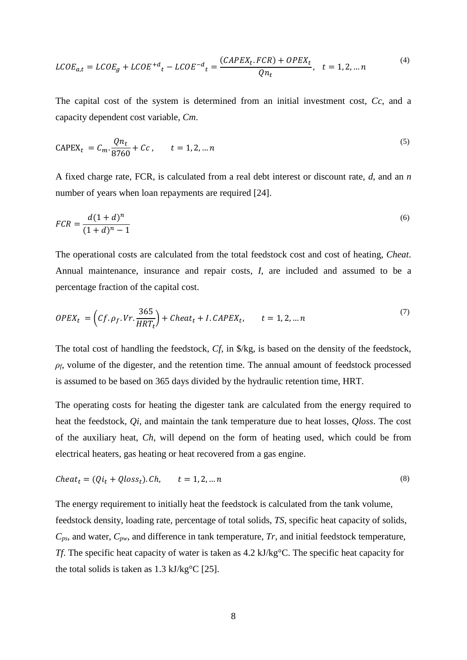$$
LCOE_{a,t} = LCOE_g + LCOE^{+d}t - LCOE^{-d}t = \frac{(CAPEX_t.FCR) + OPEX_t}{Qn_t}, \quad t = 1, 2, \dots n
$$
\n<sup>(4)</sup>

The capital cost of the system is determined from an initial investment cost, *Cc*, and a capacity dependent cost variable, *Cm*.

$$
CAPEX_t = C_m \cdot \frac{Qn_t}{8760} + Cc, \qquad t = 1, 2, ... n
$$
\n(5)

A fixed charge rate, FCR, is calculated from a real debt interest or discount rate, *d*, and an *n* number of years when loan repayments are required [24].

$$
FCR = \frac{d(1+d)^n}{(1+d)^n - 1}
$$
\n(6)

The operational costs are calculated from the total feedstock cost and cost of heating, *Cheat*. Annual maintenance, insurance and repair costs, *I*, are included and assumed to be a percentage fraction of the capital cost.

$$
OPEX_t = \left( Cf.\rho_f. Vr.\frac{365}{HRT_t} \right) + Cheat_t + I.CAPEX_t, \qquad t = 1, 2, ... n
$$
\n<sup>(7)</sup>

The total cost of handling the feedstock, *Cf*, in \$/kg, is based on the density of the feedstock,  $\rho_f$ , volume of the digester, and the retention time. The annual amount of feedstock processed is assumed to be based on 365 days divided by the hydraulic retention time, HRT.

The operating costs for heating the digester tank are calculated from the energy required to heat the feedstock, *Qi*, and maintain the tank temperature due to heat losses, *Qloss*. The cost of the auxiliary heat, *Ch*, will depend on the form of heating used, which could be from electrical heaters, gas heating or heat recovered from a gas engine.

$$
Check_t = (Qi_t + Qloss_t).Ch, \qquad t = 1, 2, \dots n
$$
\n<sup>(8)</sup>

The energy requirement to initially heat the feedstock is calculated from the tank volume, feedstock density, loading rate, percentage of total solids, *TS*, specific heat capacity of solids, *Cps*, and water, *Cpw*, and difference in tank temperature, *Tr*, and initial feedstock temperature, *Tf*. The specific heat capacity of water is taken as 4.2 kJ/kg°C. The specific heat capacity for the total solids is taken as 1.3 kJ/kg°C [25].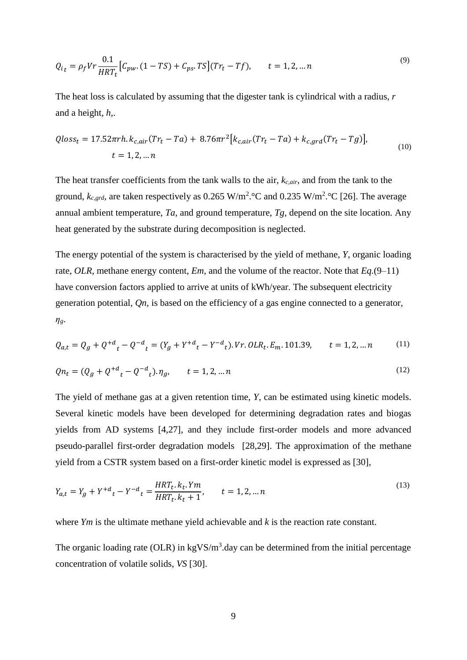$$
Q_{i_t} = \rho_f V r \frac{0.1}{HRT_t} \Big[ C_{pw}. (1 - TS) + C_{ps}. TS \Big] (Tr_t - Tf), \qquad t = 1, 2, ... n
$$
\n(9)

The heat loss is calculated by assuming that the digester tank is cylindrical with a radius, *r* and a height, *h*,.

$$
Qloss_t = 17.52\pi rh. k_{c,air}(Tr_t - Ta) + 8.76\pi r^2 [k_{c,air}(Tr_t - Ta) + k_{c,grd}(Tr_t - Tg)],
$$
  

$$
t = 1, 2, ... n
$$
 (10)

The heat transfer coefficients from the tank walls to the air, *kc,air*, and from the tank to the ground,  $k_{c,grd}$ , are taken respectively as 0.265 W/m<sup>2</sup>. °C and 0.235 W/m<sup>2</sup>. °C [26]. The average annual ambient temperature, *Ta*, and ground temperature, *Tg*, depend on the site location. Any heat generated by the substrate during decomposition is neglected.

The energy potential of the system is characterised by the yield of methane, *Y*, organic loading rate, *OLR*, methane energy content, *Em*, and the volume of the reactor. Note that *Eq.*(9–11) have conversion factors applied to arrive at units of kWh/year. The subsequent electricity generation potential, *Qn*, is based on the efficiency of a gas engine connected to a generator, *ηg*.

$$
Q_{a,t} = Q_g + Q^{+d}{}_t - Q^{-d}{}_t = (Y_g + Y^{+d}{}_t - Y^{-d}{}_t). \text{ Vr. } OLR_t. E_m. 101.39, \qquad t = 1, 2, \dots n \tag{11}
$$

$$
Qn_t = (Q_g + Q^{+d}_t - Q^{-d}_t). \eta_g, \qquad t = 1, 2, ...n
$$
\n(12)

The yield of methane gas at a given retention time, *Y*, can be estimated using kinetic models. Several kinetic models have been developed for determining degradation rates and biogas yields from AD systems [4,27], and they include first-order models and more advanced pseudo-parallel first-order degradation models [28,29]. The approximation of the methane yield from a CSTR system based on a first-order kinetic model is expressed as [30],

$$
Y_{a,t} = Y_g + Y^{+d}t - Y^{-d}t = \frac{HRT_t \cdot k_t \cdot Ym}{HRT_t \cdot k_t + 1}, \qquad t = 1, 2, \dots n
$$
\n<sup>(13)</sup>

where *Ym* is the ultimate methane yield achievable and *k* is the reaction rate constant.

The organic loading rate (OLR) in  $kgVS/m<sup>3</sup>$  day can be determined from the initial percentage concentration of volatile solids, *VS* [30].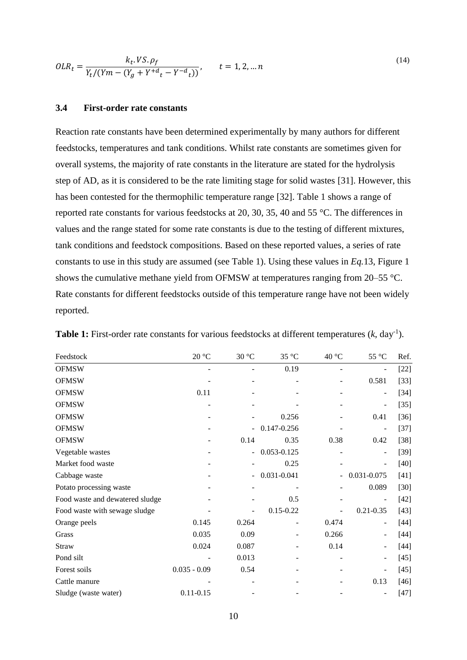$$
OLR_t = \frac{k_t.VS.\rho_f}{Y_t/(Ym - (Y_g + Y^{+d}t - Y^{-d}t))}, \qquad t = 1, 2, ... n
$$
\n(14)

#### **3.4 First-order rate constants**

Reaction rate constants have been determined experimentally by many authors for different feedstocks, temperatures and tank conditions. Whilst rate constants are sometimes given for overall systems, the majority of rate constants in the literature are stated for the hydrolysis step of AD, as it is considered to be the rate limiting stage for solid wastes [31]. However, this has been contested for the thermophilic temperature range [32]. Table 1 shows a range of reported rate constants for various feedstocks at 20, 30, 35, 40 and 55 °C. The differences in values and the range stated for some rate constants is due to the testing of different mixtures, tank conditions and feedstock compositions. Based on these reported values, a series of rate constants to use in this study are assumed (see Table 1). Using these values in *Eq.*13, Figure 1 shows the cumulative methane yield from OFMSW at temperatures ranging from 20–55 °C. Rate constants for different feedstocks outside of this temperature range have not been widely reported.

| Feedstock                       | $20\text{ }^{\circ}\mathrm{C}$ | 30 °C                    | 35 °C         | 40 °C | 55 °C                    | Ref.   |
|---------------------------------|--------------------------------|--------------------------|---------------|-------|--------------------------|--------|
| <b>OFMSW</b>                    |                                |                          | 0.19          |       |                          | $[22]$ |
| <b>OFMSW</b>                    |                                |                          |               |       | 0.581                    | $[33]$ |
| <b>OFMSW</b>                    | 0.11                           |                          |               |       | $\overline{\phantom{0}}$ | $[34]$ |
| <b>OFMSW</b>                    |                                |                          |               |       | $\overline{\phantom{a}}$ | $[35]$ |
| <b>OFMSW</b>                    |                                |                          | 0.256         |       | 0.41                     | $[36]$ |
| <b>OFMSW</b>                    |                                |                          | 0.147-0.256   |       |                          | $[37]$ |
| <b>OFMSW</b>                    |                                | 0.14                     | 0.35          | 0.38  | 0.42                     | $[38]$ |
| Vegetable wastes                |                                | $\blacksquare$           | 0.053-0.125   |       |                          | $[39]$ |
| Market food waste               |                                |                          | 0.25          |       |                          | $[40]$ |
| Cabbage waste                   |                                | $\overline{\phantom{a}}$ | 0.031-0.041   | -     | 0.031-0.075              | $[41]$ |
| Potato processing waste         |                                |                          |               |       | 0.089                    | $[30]$ |
| Food waste and dewatered sludge |                                |                          | 0.5           |       | -                        | $[42]$ |
| Food waste with sewage sludge   |                                |                          | $0.15 - 0.22$ |       | $0.21 - 0.35$            | $[43]$ |
| Orange peels                    | 0.145                          | 0.264                    |               | 0.474 |                          | $[44]$ |
| Grass                           | 0.035                          | 0.09                     |               | 0.266 |                          | $[44]$ |
| <b>Straw</b>                    | 0.024                          | 0.087                    |               | 0.14  |                          | $[44]$ |
| Pond silt                       |                                | 0.013                    |               |       |                          | $[45]$ |
| Forest soils                    | $0.035 - 0.09$                 | 0.54                     |               |       |                          | $[45]$ |
| Cattle manure                   |                                |                          |               |       | 0.13                     | $[46]$ |
| Sludge (waste water)            | $0.11 - 0.15$                  |                          |               |       |                          | $[47]$ |

**Table 1:** First-order rate constants for various feedstocks at different temperatures  $(k, day^{-1})$ .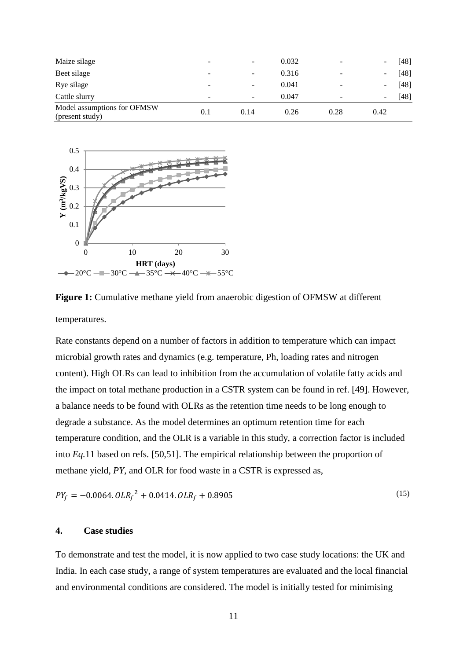| Maize silage                                   | $\overline{\phantom{a}}$ | $\overline{\phantom{a}}$ | 0.032 | $\overline{\phantom{0}}$ | [48] |
|------------------------------------------------|--------------------------|--------------------------|-------|--------------------------|------|
| Beet silage                                    | ٠                        | $\overline{\phantom{a}}$ | 0.316 | -                        | [48] |
| Rye silage                                     | -                        | ٠                        | 0.041 |                          | [48] |
| Cattle slurry                                  | -                        | $\overline{\phantom{a}}$ | 0.047 |                          | [48] |
| Model assumptions for OFMSW<br>(present study) | 0.1                      | 0.14                     | 0.26  | 0.28                     | 0.42 |



**Figure 1:** Cumulative methane yield from anaerobic digestion of OFMSW at different temperatures.

Rate constants depend on a number of factors in addition to temperature which can impact microbial growth rates and dynamics (e.g. temperature, Ph, loading rates and nitrogen content). High OLRs can lead to inhibition from the accumulation of volatile fatty acids and the impact on total methane production in a CSTR system can be found in ref. [49]. However, a balance needs to be found with OLRs as the retention time needs to be long enough to degrade a substance. As the model determines an optimum retention time for each temperature condition, and the OLR is a variable in this study, a correction factor is included into *Eq.*11 based on refs. [50,51]. The empirical relationship between the proportion of methane yield, *PY*, and OLR for food waste in a CSTR is expressed as,

$$
PY_f = -0.0064.0LR_f^2 + 0.0414.0LR_f + 0.8905
$$
\n<sup>(15)</sup>

# **4. Case studies**

To demonstrate and test the model, it is now applied to two case study locations: the UK and India. In each case study, a range of system temperatures are evaluated and the local financial and environmental conditions are considered. The model is initially tested for minimising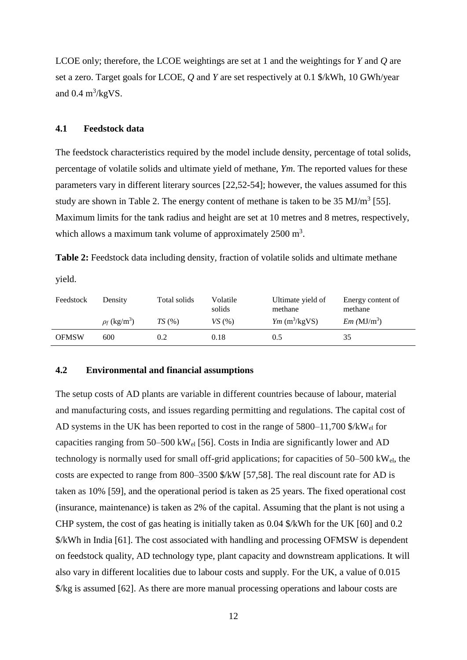LCOE only; therefore, the LCOE weightings are set at 1 and the weightings for *Y* and *Q* are set a zero. Target goals for LCOE, *Q* and *Y* are set respectively at 0.1 \$/kWh, 10 GWh/year and  $0.4 \text{ m}^3/\text{kgVS}$ .

# **4.1 Feedstock data**

The feedstock characteristics required by the model include density, percentage of total solids, percentage of volatile solids and ultimate yield of methane, *Ym*. The reported values for these parameters vary in different literary sources [22,52-54]; however, the values assumed for this study are shown in Table 2. The energy content of methane is taken to be  $35 \text{ MJ/m}^3$  [55]. Maximum limits for the tank radius and height are set at 10 metres and 8 metres, respectively, which allows a maximum tank volume of approximately  $2500 \text{ m}^3$ .

**Table 2:** Feedstock data including density, fraction of volatile solids and ultimate methane

yield.

| Feedstock    | Density                       | Total solids | Volatile<br>solids | Ultimate yield of<br>methane | Energy content of<br>methane |
|--------------|-------------------------------|--------------|--------------------|------------------------------|------------------------------|
|              | $\rho_f$ (kg/m <sup>3</sup> ) | TS(%)        | VS(%)              | $Ym$ (m <sup>3</sup> /kgVS)  | $Em (MJ/m^3)$                |
| <b>OFMSW</b> | 600                           | 0.2          | 0.18               | 0.5                          | 35                           |

#### **4.2 Environmental and financial assumptions**

The setup costs of AD plants are variable in different countries because of labour, material and manufacturing costs, and issues regarding permitting and regulations. The capital cost of AD systems in the UK has been reported to cost in the range of  $5800-11,700$  \$/kW<sub>el</sub> for capacities ranging from 50–500 kWel [56]. Costs in India are significantly lower and AD technology is normally used for small off-grid applications; for capacities of 50–500 kWel, the costs are expected to range from 800–3500 \$/kW [57,58]. The real discount rate for AD is taken as 10% [59], and the operational period is taken as 25 years. The fixed operational cost (insurance, maintenance) is taken as 2% of the capital. Assuming that the plant is not using a CHP system, the cost of gas heating is initially taken as 0.04 \$/kWh for the UK [60] and 0.2 \$/kWh in India [61]. The cost associated with handling and processing OFMSW is dependent on feedstock quality, AD technology type, plant capacity and downstream applications. It will also vary in different localities due to labour costs and supply. For the UK, a value of 0.015 \$/kg is assumed [62]. As there are more manual processing operations and labour costs are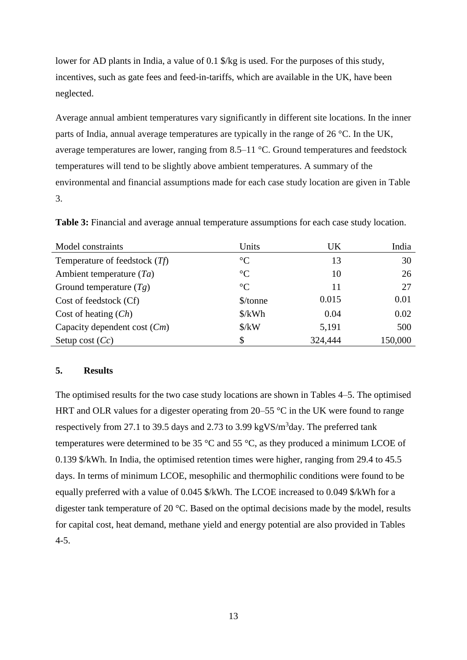lower for AD plants in India, a value of 0.1 \$/kg is used. For the purposes of this study, incentives, such as gate fees and feed-in-tariffs, which are available in the UK, have been neglected.

Average annual ambient temperatures vary significantly in different site locations. In the inner parts of India, annual average temperatures are typically in the range of 26 °C. In the UK, average temperatures are lower, ranging from 8.5–11 °C. Ground temperatures and feedstock temperatures will tend to be slightly above ambient temperatures. A summary of the environmental and financial assumptions made for each case study location are given in Table 3.

| Model constraints               | Units                          | UK      | India   |
|---------------------------------|--------------------------------|---------|---------|
| Temperature of feedstock $(Tf)$ | $\rm ^{\circ}C$                | 13      | 30      |
| Ambient temperature $(T_a)$     | $\rm ^{\circ}C$                | 10      | 26      |
| Ground temperature $(Tg)$       | $\rm ^{\circ}C$                | 11      | 27      |
| Cost of feedstock (Cf)          | \$/tonne                       | 0.015   | 0.01    |
| Cost of heating $(Ch)$          | $\frac{\text{S}}{\text{K}}$ Wh | 0.04    | 0.02    |
| Capacity dependent cost $(Cm)$  | $\frac{\text{S}}{\text{K}}$    | 5,191   | 500     |
| Setup cost $(Cc)$               | \$                             | 324,444 | 150,000 |

**Table 3:** Financial and average annual temperature assumptions for each case study location.

#### **5. Results**

The optimised results for the two case study locations are shown in Tables 4–5. The optimised HRT and OLR values for a digester operating from  $20-55$  °C in the UK were found to range respectively from 27.1 to 39.5 days and 2.73 to 3.99 kgVS/m<sup>3</sup>day. The preferred tank temperatures were determined to be 35 °C and 55 °C, as they produced a minimum LCOE of 0.139 \$/kWh. In India, the optimised retention times were higher, ranging from 29.4 to 45.5 days. In terms of minimum LCOE, mesophilic and thermophilic conditions were found to be equally preferred with a value of 0.045 \$/kWh. The LCOE increased to 0.049 \$/kWh for a digester tank temperature of 20 °C. Based on the optimal decisions made by the model, results for capital cost, heat demand, methane yield and energy potential are also provided in Tables 4-5.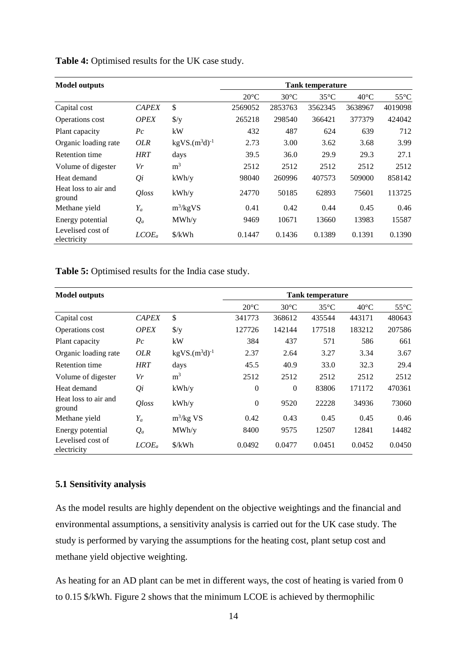| <b>Model outputs</b>             |                     |                      | <b>Tank temperature</b> |                |                |                |                |
|----------------------------------|---------------------|----------------------|-------------------------|----------------|----------------|----------------|----------------|
|                                  |                     |                      | $20^{\circ}$ C          | $30^{\circ}$ C | $35^{\circ}$ C | $40^{\circ}$ C | $55^{\circ}$ C |
| Capital cost                     | <b>CAPEX</b>        | \$                   | 2569052                 | 2853763        | 3562345        | 3638967        | 4019098        |
| Operations cost                  | <b>OPEX</b>         | $\frac{f}{g}$        | 265218                  | 298540         | 366421         | 377379         | 424042         |
| Plant capacity                   | $P_{c}$             | kW                   | 432                     | 487            | 624            | 639            | 712            |
| Organic loading rate             | OLR                 | $kgVS.(m^3d)^{-1}$   | 2.73                    | 3.00           | 3.62           | 3.68           | 3.99           |
| Retention time                   | <b>HRT</b>          | days                 | 39.5                    | 36.0           | 29.9           | 29.3           | 27.1           |
| Volume of digester               | Vr                  | m <sup>3</sup>       | 2512                    | 2512           | 2512           | 2512           | 2512           |
| Heat demand                      | $Q_i$               | kWh/y                | 98040                   | 260996         | 407573         | 509000         | 858142         |
| Heat loss to air and<br>ground   | <i><b>Qloss</b></i> | kWh/y                | 24770                   | 50185          | 62893          | 75601          | 113725         |
| Methane yield                    | $Y_a$               | $m^3/kgVS$           | 0.41                    | 0.42           | 0.44           | 0.45           | 0.46           |
| Energy potential                 | $Q_a$               | MWh/y                | 9469                    | 10671          | 13660          | 13983          | 15587          |
| Levelised cost of<br>electricity | $LCOE_a$            | $\frac{\sqrt{2}}{2}$ | 0.1447                  | 0.1436         | 0.1389         | 0.1391         | 0.1390         |

**Table 4:** Optimised results for the UK case study.

**Table 5:** Optimised results for the India case study.

| <b>Model outputs</b>             |                     |                           | <b>Tank temperature</b> |                |                |                |                |
|----------------------------------|---------------------|---------------------------|-------------------------|----------------|----------------|----------------|----------------|
|                                  |                     |                           | $20^{\circ}$ C          | $30^{\circ}$ C | $35^{\circ}$ C | $40^{\circ}$ C | $55^{\circ}$ C |
| Capital cost                     | <b>CAPEX</b>        | $\boldsymbol{\mathsf{S}}$ | 341773                  | 368612         | 435544         | 443171         | 480643         |
| Operations cost                  | <b>OPEX</b>         | $\frac{f}{g}$             | 127726                  | 142144         | 177518         | 183212         | 207586         |
| Plant capacity                   | $P_{\mathcal{C}}$   | kW                        | 384                     | 437            | 571            | 586            | 661            |
| Organic loading rate             | <i>OLR</i>          | $kgVS.(m^3d)^{-1}$        | 2.37                    | 2.64           | 3.27           | 3.34           | 3.67           |
| Retention time                   | <b>HRT</b>          | days                      | 45.5                    | 40.9           | 33.0           | 32.3           | 29.4           |
| Volume of digester               | Vr                  | m <sup>3</sup>            | 2512                    | 2512           | 2512           | 2512           | 2512           |
| Heat demand                      | $Q_i$               | kWh/y                     | $\boldsymbol{0}$        | $\overline{0}$ | 83806          | 171172         | 470361         |
| Heat loss to air and<br>ground   | <i><b>Qloss</b></i> | kWh/y                     | $\boldsymbol{0}$        | 9520           | 22228          | 34936          | 73060          |
| Methane yield                    | $Y_a$               | $m^3/kg$ VS               | 0.42                    | 0.43           | 0.45           | 0.45           | 0.46           |
| Energy potential                 | $Q_a$               | MWh/y                     | 8400                    | 9575           | 12507          | 12841          | 14482          |
| Levelised cost of<br>electricity | $LCOE_a$            | $\frac{\sqrt{2}}{2}$      | 0.0492                  | 0.0477         | 0.0451         | 0.0452         | 0.0450         |

# **5.1 Sensitivity analysis**

As the model results are highly dependent on the objective weightings and the financial and environmental assumptions, a sensitivity analysis is carried out for the UK case study. The study is performed by varying the assumptions for the heating cost, plant setup cost and methane yield objective weighting.

As heating for an AD plant can be met in different ways, the cost of heating is varied from 0 to 0.15 \$/kWh. Figure 2 shows that the minimum LCOE is achieved by thermophilic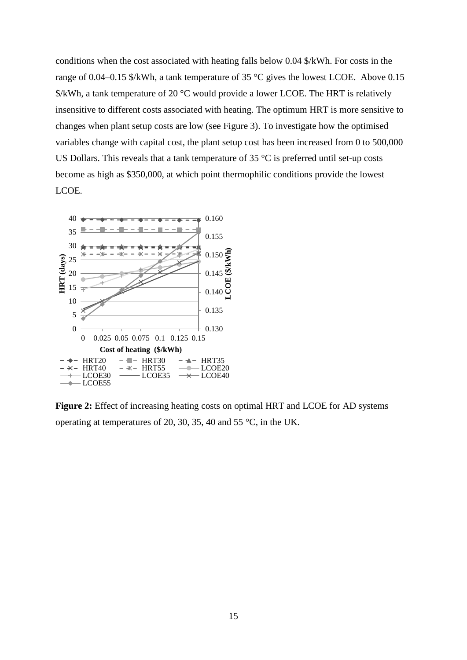conditions when the cost associated with heating falls below 0.04 \$/kWh. For costs in the range of 0.04–0.15 \$/kWh, a tank temperature of 35 °C gives the lowest LCOE. Above 0.15 \$/kWh, a tank temperature of 20 °C would provide a lower LCOE. The HRT is relatively insensitive to different costs associated with heating. The optimum HRT is more sensitive to changes when plant setup costs are low (see Figure 3). To investigate how the optimised variables change with capital cost, the plant setup cost has been increased from 0 to 500,000 US Dollars. This reveals that a tank temperature of  $35 \degree C$  is preferred until set-up costs become as high as \$350,000, at which point thermophilic conditions provide the lowest LCOE.



**Figure 2:** Effect of increasing heating costs on optimal HRT and LCOE for AD systems operating at temperatures of 20, 30, 35, 40 and 55 °C, in the UK.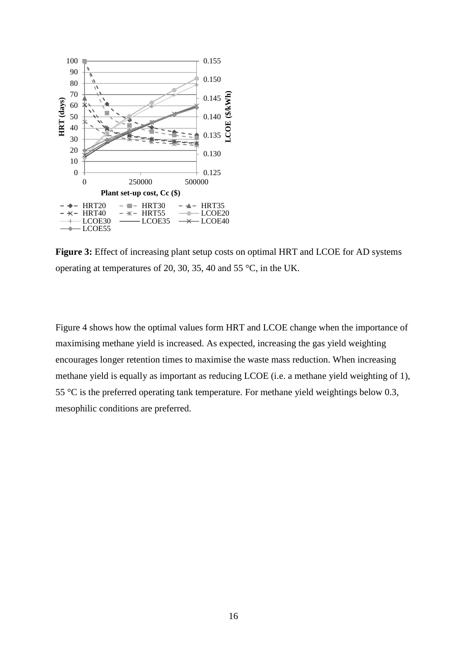

**Figure 3:** Effect of increasing plant setup costs on optimal HRT and LCOE for AD systems operating at temperatures of 20, 30, 35, 40 and 55 °C, in the UK.

Figure 4 shows how the optimal values form HRT and LCOE change when the importance of maximising methane yield is increased. As expected, increasing the gas yield weighting encourages longer retention times to maximise the waste mass reduction. When increasing methane yield is equally as important as reducing LCOE (i.e. a methane yield weighting of 1), 55  $\degree$ C is the preferred operating tank temperature. For methane yield weightings below 0.3, mesophilic conditions are preferred.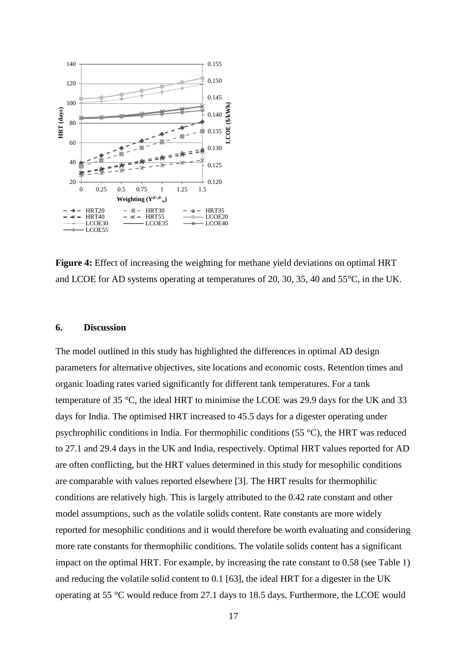

**Figure 4:** Effect of increasing the weighting for methane yield deviations on optimal HRT and LCOE for AD systems operating at temperatures of 20, 30, 35, 40 and 55°C, in the UK.

#### **6. Discussion**

The model outlined in this study has highlighted the differences in optimal AD design parameters for alternative objectives, site locations and economic costs. Retention times and organic loading rates varied significantly for different tank temperatures. For a tank temperature of 35 °C, the ideal HRT to minimise the LCOE was 29.9 days for the UK and 33 days for India. The optimised HRT increased to 45.5 days for a digester operating under psychrophilic conditions in India. For thermophilic conditions (55 °C), the HRT was reduced to 27.1 and 29.4 days in the UK and India, respectively. Optimal HRT values reported for AD are often conflicting, but the HRT values determined in this study for mesophilic conditions are comparable with values reported elsewhere [3]. The HRT results for thermophilic conditions are relatively high. This is largely attributed to the 0.42 rate constant and other model assumptions, such as the volatile solids content. Rate constants are more widely reported for mesophilic conditions and it would therefore be worth evaluating and considering more rate constants for thermophilic conditions. The volatile solids content has a significant impact on the optimal HRT. For example, by increasing the rate constant to 0.58 (see Table 1) and reducing the volatile solid content to 0.1 [63], the ideal HRT for a digester in the UK operating at 55 °C would reduce from 27.1 days to 18.5 days. Furthermore, the LCOE would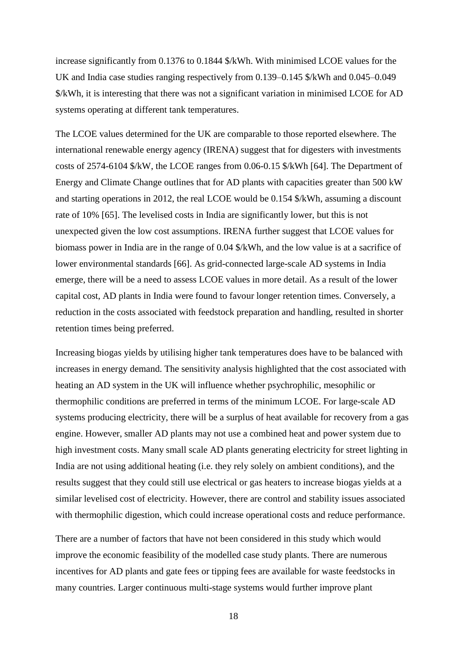increase significantly from 0.1376 to 0.1844 \$/kWh. With minimised LCOE values for the UK and India case studies ranging respectively from 0.139–0.145 \$/kWh and 0.045–0.049 \$/kWh, it is interesting that there was not a significant variation in minimised LCOE for AD systems operating at different tank temperatures.

The LCOE values determined for the UK are comparable to those reported elsewhere. The international renewable energy agency (IRENA) suggest that for digesters with investments costs of 2574-6104 \$/kW, the LCOE ranges from 0.06-0.15 \$/kWh [64]. The Department of Energy and Climate Change outlines that for AD plants with capacities greater than 500 kW and starting operations in 2012, the real LCOE would be 0.154 \$/kWh, assuming a discount rate of 10% [65]. The levelised costs in India are significantly lower, but this is not unexpected given the low cost assumptions. IRENA further suggest that LCOE values for biomass power in India are in the range of 0.04 \$/kWh, and the low value is at a sacrifice of lower environmental standards [66]. As grid-connected large-scale AD systems in India emerge, there will be a need to assess LCOE values in more detail. As a result of the lower capital cost, AD plants in India were found to favour longer retention times. Conversely, a reduction in the costs associated with feedstock preparation and handling, resulted in shorter retention times being preferred.

Increasing biogas yields by utilising higher tank temperatures does have to be balanced with increases in energy demand. The sensitivity analysis highlighted that the cost associated with heating an AD system in the UK will influence whether psychrophilic, mesophilic or thermophilic conditions are preferred in terms of the minimum LCOE. For large-scale AD systems producing electricity, there will be a surplus of heat available for recovery from a gas engine. However, smaller AD plants may not use a combined heat and power system due to high investment costs. Many small scale AD plants generating electricity for street lighting in India are not using additional heating (i.e. they rely solely on ambient conditions), and the results suggest that they could still use electrical or gas heaters to increase biogas yields at a similar levelised cost of electricity. However, there are control and stability issues associated with thermophilic digestion, which could increase operational costs and reduce performance.

There are a number of factors that have not been considered in this study which would improve the economic feasibility of the modelled case study plants. There are numerous incentives for AD plants and gate fees or tipping fees are available for waste feedstocks in many countries. Larger continuous multi-stage systems would further improve plant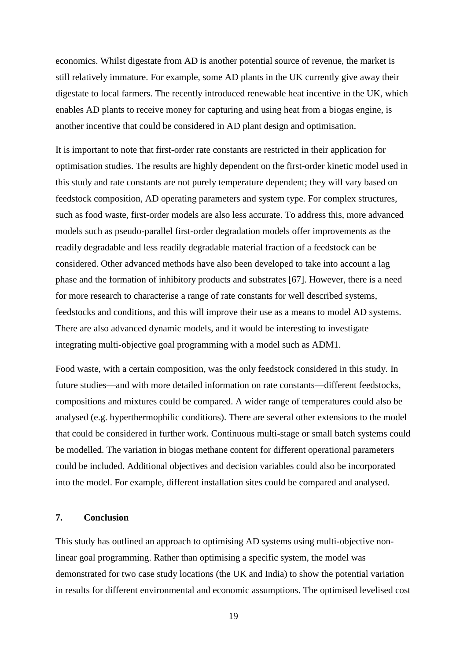economics. Whilst digestate from AD is another potential source of revenue, the market is still relatively immature. For example, some AD plants in the UK currently give away their digestate to local farmers. The recently introduced renewable heat incentive in the UK, which enables AD plants to receive money for capturing and using heat from a biogas engine, is another incentive that could be considered in AD plant design and optimisation.

It is important to note that first-order rate constants are restricted in their application for optimisation studies. The results are highly dependent on the first-order kinetic model used in this study and rate constants are not purely temperature dependent; they will vary based on feedstock composition, AD operating parameters and system type. For complex structures, such as food waste, first-order models are also less accurate. To address this, more advanced models such as pseudo-parallel first-order degradation models offer improvements as the readily degradable and less readily degradable material fraction of a feedstock can be considered. Other advanced methods have also been developed to take into account a lag phase and the formation of inhibitory products and substrates [67]. However, there is a need for more research to characterise a range of rate constants for well described systems, feedstocks and conditions, and this will improve their use as a means to model AD systems. There are also advanced dynamic models, and it would be interesting to investigate integrating multi-objective goal programming with a model such as ADM1.

Food waste, with a certain composition, was the only feedstock considered in this study. In future studies—and with more detailed information on rate constants—different feedstocks, compositions and mixtures could be compared. A wider range of temperatures could also be analysed (e.g. hyperthermophilic conditions). There are several other extensions to the model that could be considered in further work. Continuous multi-stage or small batch systems could be modelled. The variation in biogas methane content for different operational parameters could be included. Additional objectives and decision variables could also be incorporated into the model. For example, different installation sites could be compared and analysed.

#### **7. Conclusion**

This study has outlined an approach to optimising AD systems using multi-objective nonlinear goal programming. Rather than optimising a specific system, the model was demonstrated for two case study locations (the UK and India) to show the potential variation in results for different environmental and economic assumptions. The optimised levelised cost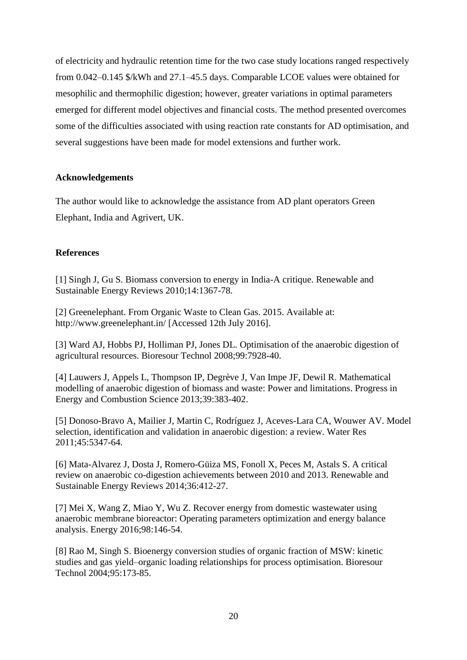of electricity and hydraulic retention time for the two case study locations ranged respectively from 0.042–0.145 \$/kWh and 27.1–45.5 days. Comparable LCOE values were obtained for mesophilic and thermophilic digestion; however, greater variations in optimal parameters emerged for different model objectives and financial costs. The method presented overcomes some of the difficulties associated with using reaction rate constants for AD optimisation, and several suggestions have been made for model extensions and further work.

# **Acknowledgements**

The author would like to acknowledge the assistance from AD plant operators Green Elephant, India and Agrivert, UK.

# **References**

[1] Singh J, Gu S. Biomass conversion to energy in India-A critique. Renewable and Sustainable Energy Reviews 2010;14:1367-78.

[2] Greenelephant. From Organic Waste to Clean Gas. 2015. Available at: http://www.greenelephant.in/ [Accessed 12th July 2016].

[3] Ward AJ, Hobbs PJ, Holliman PJ, Jones DL. Optimisation of the anaerobic digestion of agricultural resources. Bioresour Technol 2008;99:7928-40.

[4] Lauwers J, Appels L, Thompson IP, Degrève J, Van Impe JF, Dewil R. Mathematical modelling of anaerobic digestion of biomass and waste: Power and limitations. Progress in Energy and Combustion Science 2013;39:383-402.

[5] Donoso-Bravo A, Mailier J, Martin C, Rodríguez J, Aceves-Lara CA, Wouwer AV. Model selection, identification and validation in anaerobic digestion: a review. Water Res 2011;45:5347-64.

[6] Mata-Alvarez J, Dosta J, Romero-Güiza MS, Fonoll X, Peces M, Astals S. A critical review on anaerobic co-digestion achievements between 2010 and 2013. Renewable and Sustainable Energy Reviews 2014;36:412-27.

[7] Mei X, Wang Z, Miao Y, Wu Z. Recover energy from domestic wastewater using anaerobic membrane bioreactor: Operating parameters optimization and energy balance analysis. Energy 2016;98:146-54.

[8] Rao M, Singh S. Bioenergy conversion studies of organic fraction of MSW: kinetic studies and gas yield–organic loading relationships for process optimisation. Bioresour Technol 2004;95:173-85.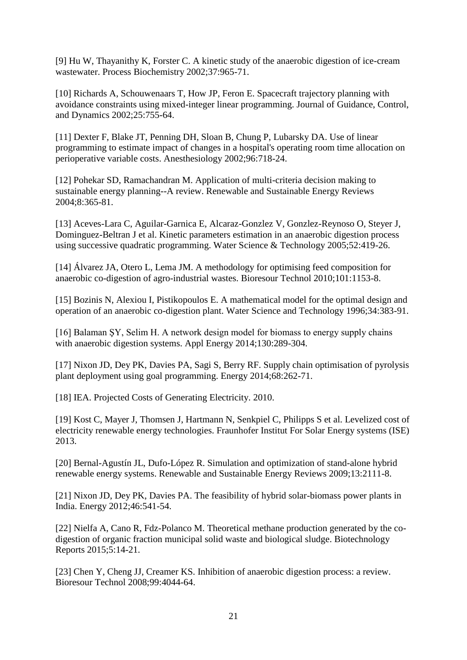[9] Hu W, Thayanithy K, Forster C. A kinetic study of the anaerobic digestion of ice-cream wastewater. Process Biochemistry 2002;37:965-71.

[10] Richards A, Schouwenaars T, How JP, Feron E. Spacecraft trajectory planning with avoidance constraints using mixed-integer linear programming. Journal of Guidance, Control, and Dynamics 2002;25:755-64.

[11] Dexter F, Blake JT, Penning DH, Sloan B, Chung P, Lubarsky DA. Use of linear programming to estimate impact of changes in a hospital's operating room time allocation on perioperative variable costs. Anesthesiology 2002;96:718-24.

[12] Pohekar SD, Ramachandran M. Application of multi-criteria decision making to sustainable energy planning--A review. Renewable and Sustainable Energy Reviews 2004;8:365-81.

[13] Aceves-Lara C, Aguilar-Garnica E, Alcaraz-Gonzlez V, Gonzlez-Reynoso O, Steyer J, Dominguez-Beltran J et al. Kinetic parameters estimation in an anaerobic digestion process using successive quadratic programming. Water Science & Technology 2005;52:419-26.

[14] Álvarez JA, Otero L, Lema JM. A methodology for optimising feed composition for anaerobic co-digestion of agro-industrial wastes. Bioresour Technol 2010;101:1153-8.

[15] Bozinis N, Alexiou I, Pistikopoulos E. A mathematical model for the optimal design and operation of an anaerobic co-digestion plant. Water Science and Technology 1996;34:383-91.

[16] Balaman ŞY, Selim H. A network design model for biomass to energy supply chains with anaerobic digestion systems. Appl Energy 2014;130:289-304.

[17] Nixon JD, Dey PK, Davies PA, Sagi S, Berry RF. Supply chain optimisation of pyrolysis plant deployment using goal programming. Energy 2014;68:262-71.

[18] IEA. Projected Costs of Generating Electricity. 2010.

[19] Kost C, Mayer J, Thomsen J, Hartmann N, Senkpiel C, Philipps S et al. Levelized cost of electricity renewable energy technologies. Fraunhofer Institut For Solar Energy systems (ISE) 2013.

[20] Bernal-Agustín JL, Dufo-López R. Simulation and optimization of stand-alone hybrid renewable energy systems. Renewable and Sustainable Energy Reviews 2009;13:2111-8.

[21] Nixon JD, Dey PK, Davies PA. The feasibility of hybrid solar-biomass power plants in India. Energy 2012;46:541-54.

[22] Nielfa A, Cano R, Fdz-Polanco M. Theoretical methane production generated by the codigestion of organic fraction municipal solid waste and biological sludge. Biotechnology Reports 2015;5:14-21.

[23] Chen Y, Cheng JJ, Creamer KS. Inhibition of anaerobic digestion process: a review. Bioresour Technol 2008;99:4044-64.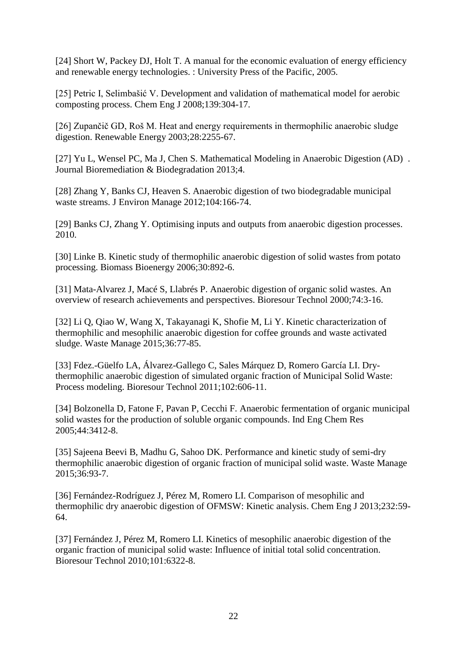[24] Short W, Packey DJ, Holt T. A manual for the economic evaluation of energy efficiency and renewable energy technologies. : University Press of the Pacific, 2005.

[25] Petric I, Selimbašić V. Development and validation of mathematical model for aerobic composting process. Chem Eng J 2008;139:304-17.

[26] Zupančič GD, Roš M. Heat and energy requirements in thermophilic anaerobic sludge digestion. Renewable Energy 2003;28:2255-67.

[27] Yu L, Wensel PC, Ma J, Chen S. Mathematical Modeling in Anaerobic Digestion (AD) . Journal Bioremediation & Biodegradation 2013;4.

[28] Zhang Y, Banks CJ, Heaven S. Anaerobic digestion of two biodegradable municipal waste streams. J Environ Manage 2012;104:166-74.

[29] Banks CJ, Zhang Y. Optimising inputs and outputs from anaerobic digestion processes. 2010.

[30] Linke B. Kinetic study of thermophilic anaerobic digestion of solid wastes from potato processing. Biomass Bioenergy 2006;30:892-6.

[31] Mata-Alvarez J, Macé S, Llabrés P. Anaerobic digestion of organic solid wastes. An overview of research achievements and perspectives. Bioresour Technol 2000;74:3-16.

[32] Li Q, Qiao W, Wang X, Takayanagi K, Shofie M, Li Y. Kinetic characterization of thermophilic and mesophilic anaerobic digestion for coffee grounds and waste activated sludge. Waste Manage 2015;36:77-85.

[33] Fdez.-Güelfo LA, Álvarez-Gallego C, Sales Márquez D, Romero García LI. Drythermophilic anaerobic digestion of simulated organic fraction of Municipal Solid Waste: Process modeling. Bioresour Technol 2011;102:606-11.

[34] Bolzonella D, Fatone F, Pavan P, Cecchi F. Anaerobic fermentation of organic municipal solid wastes for the production of soluble organic compounds. Ind Eng Chem Res 2005;44:3412-8.

[35] Sajeena Beevi B, Madhu G, Sahoo DK. Performance and kinetic study of semi-dry thermophilic anaerobic digestion of organic fraction of municipal solid waste. Waste Manage 2015;36:93-7.

[36] Fernández-Rodríguez J, Pérez M, Romero LI. Comparison of mesophilic and thermophilic dry anaerobic digestion of OFMSW: Kinetic analysis. Chem Eng J 2013;232:59- 64.

[37] Fernández J, Pérez M, Romero LI. Kinetics of mesophilic anaerobic digestion of the organic fraction of municipal solid waste: Influence of initial total solid concentration. Bioresour Technol 2010;101:6322-8.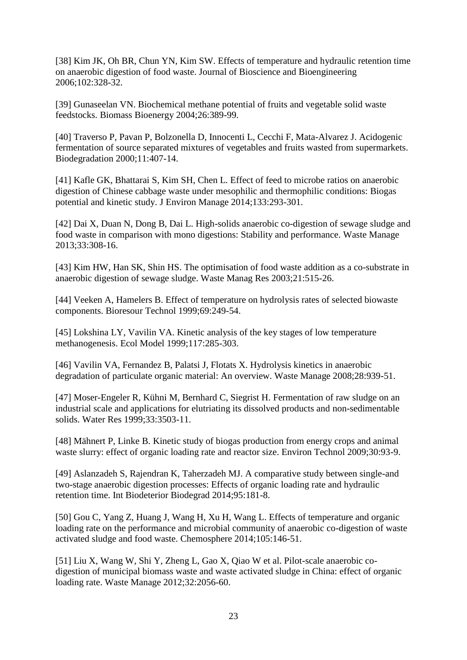[38] Kim JK, Oh BR, Chun YN, Kim SW. Effects of temperature and hydraulic retention time on anaerobic digestion of food waste. Journal of Bioscience and Bioengineering 2006;102:328-32.

[39] Gunaseelan VN. Biochemical methane potential of fruits and vegetable solid waste feedstocks. Biomass Bioenergy 2004;26:389-99.

[40] Traverso P, Pavan P, Bolzonella D, Innocenti L, Cecchi F, Mata-Alvarez J. Acidogenic fermentation of source separated mixtures of vegetables and fruits wasted from supermarkets. Biodegradation 2000;11:407-14.

[41] Kafle GK, Bhattarai S, Kim SH, Chen L. Effect of feed to microbe ratios on anaerobic digestion of Chinese cabbage waste under mesophilic and thermophilic conditions: Biogas potential and kinetic study. J Environ Manage 2014;133:293-301.

[42] Dai X, Duan N, Dong B, Dai L. High-solids anaerobic co-digestion of sewage sludge and food waste in comparison with mono digestions: Stability and performance. Waste Manage 2013;33:308-16.

[43] Kim HW, Han SK, Shin HS. The optimisation of food waste addition as a co-substrate in anaerobic digestion of sewage sludge. Waste Manag Res 2003;21:515-26.

[44] Veeken A, Hamelers B. Effect of temperature on hydrolysis rates of selected biowaste components. Bioresour Technol 1999;69:249-54.

[45] Lokshina LY, Vavilin VA. Kinetic analysis of the key stages of low temperature methanogenesis. Ecol Model 1999;117:285-303.

[46] Vavilin VA, Fernandez B, Palatsi J, Flotats X. Hydrolysis kinetics in anaerobic degradation of particulate organic material: An overview. Waste Manage 2008;28:939-51.

[47] Moser-Engeler R, Kühni M, Bernhard C, Siegrist H. Fermentation of raw sludge on an industrial scale and applications for elutriating its dissolved products and non-sedimentable solids. Water Res 1999;33:3503-11.

[48] Mähnert P, Linke B. Kinetic study of biogas production from energy crops and animal waste slurry: effect of organic loading rate and reactor size. Environ Technol 2009;30:93-9.

[49] Aslanzadeh S, Rajendran K, Taherzadeh MJ. A comparative study between single-and two-stage anaerobic digestion processes: Effects of organic loading rate and hydraulic retention time. Int Biodeterior Biodegrad 2014;95:181-8.

[50] Gou C, Yang Z, Huang J, Wang H, Xu H, Wang L. Effects of temperature and organic loading rate on the performance and microbial community of anaerobic co-digestion of waste activated sludge and food waste. Chemosphere 2014;105:146-51.

[51] Liu X, Wang W, Shi Y, Zheng L, Gao X, Qiao W et al. Pilot-scale anaerobic codigestion of municipal biomass waste and waste activated sludge in China: effect of organic loading rate. Waste Manage 2012;32:2056-60.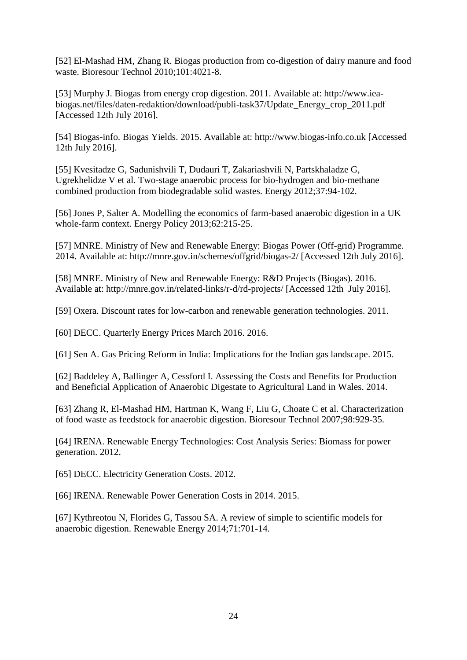[52] El-Mashad HM, Zhang R. Biogas production from co-digestion of dairy manure and food waste. Bioresour Technol 2010;101:4021-8.

[53] Murphy J. Biogas from energy crop digestion. 2011. Available at: http://www.ieabiogas.net/files/daten-redaktion/download/publi-task37/Update\_Energy\_crop\_2011.pdf [Accessed 12th July 2016].

[54] Biogas-info. Biogas Yields. 2015. Available at: http://www.biogas-info.co.uk [Accessed 12th July 2016].

[55] Kvesitadze G, Sadunishvili T, Dudauri T, Zakariashvili N, Partskhaladze G, Ugrekhelidze V et al. Two-stage anaerobic process for bio-hydrogen and bio-methane combined production from biodegradable solid wastes. Energy 2012;37:94-102.

[56] Jones P, Salter A. Modelling the economics of farm-based anaerobic digestion in a UK whole-farm context. Energy Policy 2013;62:215-25.

[57] MNRE. Ministry of New and Renewable Energy: Biogas Power (Off-grid) Programme. 2014. Available at: http://mnre.gov.in/schemes/offgrid/biogas-2/ [Accessed 12th July 2016].

[58] MNRE. Ministry of New and Renewable Energy: R&D Projects (Biogas). 2016. Available at: http://mnre.gov.in/related-links/r-d/rd-projects/ [Accessed 12th July 2016].

[59] Oxera. Discount rates for low-carbon and renewable generation technologies. 2011.

[60] DECC. Quarterly Energy Prices March 2016. 2016.

[61] Sen A. Gas Pricing Reform in India: Implications for the Indian gas landscape. 2015.

[62] Baddeley A, Ballinger A, Cessford I. Assessing the Costs and Benefits for Production and Beneficial Application of Anaerobic Digestate to Agricultural Land in Wales. 2014.

[63] Zhang R, El-Mashad HM, Hartman K, Wang F, Liu G, Choate C et al. Characterization of food waste as feedstock for anaerobic digestion. Bioresour Technol 2007;98:929-35.

[64] IRENA. Renewable Energy Technologies: Cost Analysis Series: Biomass for power generation. 2012.

[65] DECC. Electricity Generation Costs. 2012.

[66] IRENA. Renewable Power Generation Costs in 2014. 2015.

[67] Kythreotou N, Florides G, Tassou SA. A review of simple to scientific models for anaerobic digestion. Renewable Energy 2014;71:701-14.